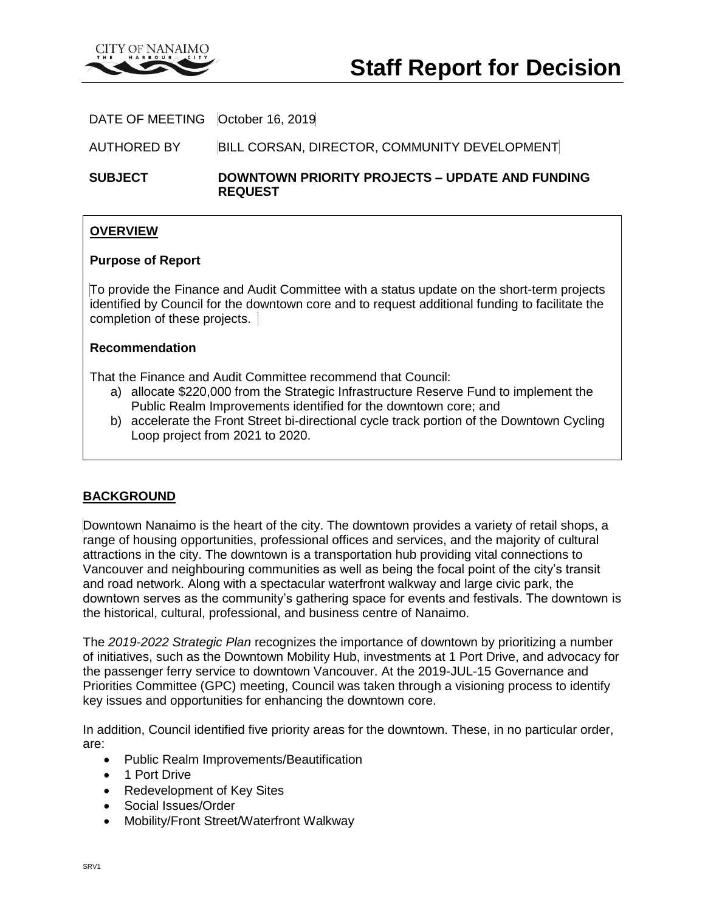

DATE OF MEETING | October 16, 2019|

AUTHORED BY BILL CORSAN, DIRECTOR, COMMUNITY DEVELOPMENT

**SUBJECT DOWNTOWN PRIORITY PROJECTS – UPDATE AND FUNDING REQUEST**

## **OVERVIEW**

### **Purpose of Report**

To provide the Finance and Audit Committee with a status update on the short-term projects identified by Council for the downtown core and to request additional funding to facilitate the completion of these projects.

### **Recommendation**

That the Finance and Audit Committee recommend that Council:

- a) allocate \$220,000 from the Strategic Infrastructure Reserve Fund to implement the Public Realm Improvements identified for the downtown core; and
- b) accelerate the Front Street bi-directional cycle track portion of the Downtown Cycling Loop project from 2021 to 2020.

## **BACKGROUND**

Downtown Nanaimo is the heart of the city. The downtown provides a variety of retail shops, a range of housing opportunities, professional offices and services, and the majority of cultural attractions in the city. The downtown is a transportation hub providing vital connections to Vancouver and neighbouring communities as well as being the focal point of the city's transit and road network. Along with a spectacular waterfront walkway and large civic park, the downtown serves as the community's gathering space for events and festivals. The downtown is the historical, cultural, professional, and business centre of Nanaimo.

The *2019-2022 Strategic Plan* recognizes the importance of downtown by prioritizing a number of initiatives, such as the Downtown Mobility Hub, investments at 1 Port Drive, and advocacy for the passenger ferry service to downtown Vancouver. At the 2019-JUL-15 Governance and Priorities Committee (GPC) meeting, Council was taken through a visioning process to identify key issues and opportunities for enhancing the downtown core.

In addition, Council identified five priority areas for the downtown. These, in no particular order, are:

- Public Realm Improvements/Beautification
- 1 Port Drive
- Redevelopment of Key Sites
- Social Issues/Order
- Mobility/Front Street/Waterfront Walkway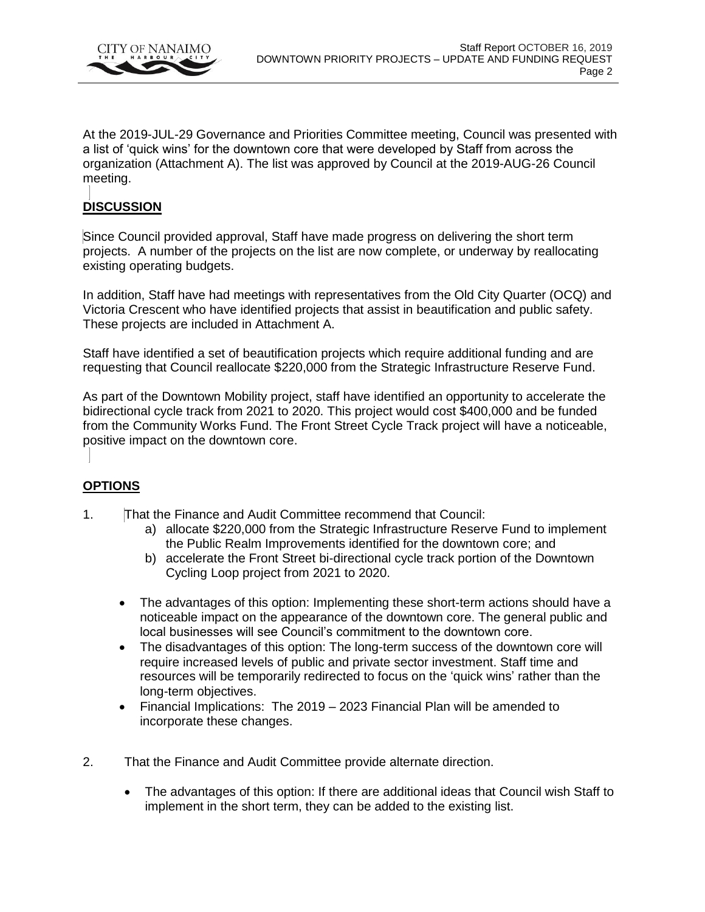

At the 2019-JUL-29 Governance and Priorities Committee meeting, Council was presented with a list of 'quick wins' for the downtown core that were developed by Staff from across the organization (Attachment A). The list was approved by Council at the 2019-AUG-26 Council meeting.

# **DISCUSSION**

Since Council provided approval, Staff have made progress on delivering the short term projects. A number of the projects on the list are now complete, or underway by reallocating existing operating budgets.

In addition, Staff have had meetings with representatives from the Old City Quarter (OCQ) and Victoria Crescent who have identified projects that assist in beautification and public safety. These projects are included in Attachment A.

Staff have identified a set of beautification projects which require additional funding and are requesting that Council reallocate \$220,000 from the Strategic Infrastructure Reserve Fund.

As part of the Downtown Mobility project, staff have identified an opportunity to accelerate the bidirectional cycle track from 2021 to 2020. This project would cost \$400,000 and be funded from the Community Works Fund. The Front Street Cycle Track project will have a noticeable, positive impact on the downtown core.

## **OPTIONS**

- 1. That the Finance and Audit Committee recommend that Council:
	- a) allocate \$220,000 from the Strategic Infrastructure Reserve Fund to implement the Public Realm Improvements identified for the downtown core; and
	- b) accelerate the Front Street bi-directional cycle track portion of the Downtown Cycling Loop project from 2021 to 2020.
	- The advantages of this option: Implementing these short-term actions should have a noticeable impact on the appearance of the downtown core. The general public and local businesses will see Council's commitment to the downtown core.
	- The disadvantages of this option: The long-term success of the downtown core will require increased levels of public and private sector investment. Staff time and resources will be temporarily redirected to focus on the 'quick wins' rather than the long-term objectives.
	- Financial Implications: The 2019 2023 Financial Plan will be amended to incorporate these changes.
- 2. That the Finance and Audit Committee provide alternate direction.
	- The advantages of this option: If there are additional ideas that Council wish Staff to implement in the short term, they can be added to the existing list.